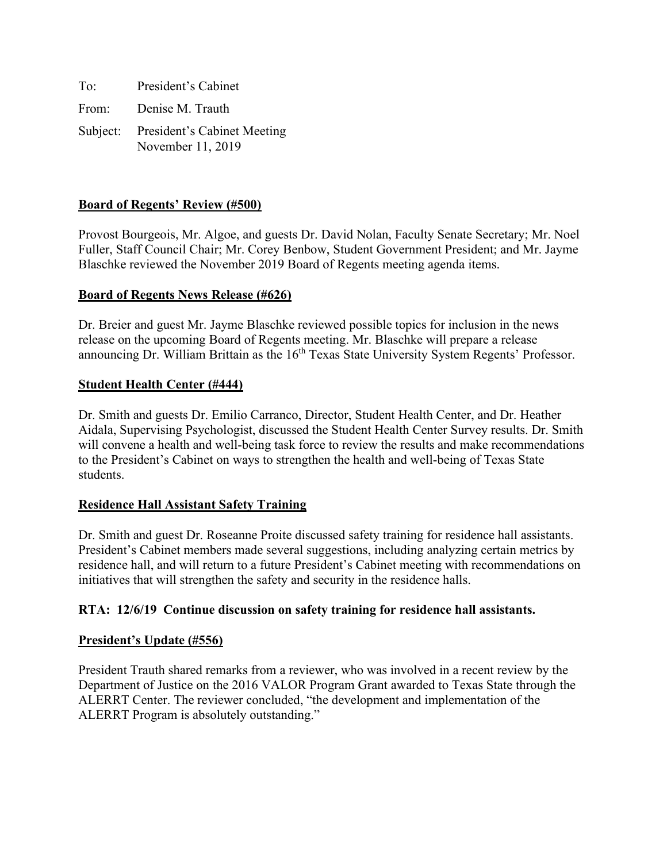| To:   | President's Cabinet                                       |
|-------|-----------------------------------------------------------|
| From: | Denise M. Trauth                                          |
|       | Subject: President's Cabinet Meeting<br>November 11, 2019 |

# **Board of Regents' Review (#500)**

Provost Bourgeois, Mr. Algoe, and guests Dr. David Nolan, Faculty Senate Secretary; Mr. Noel Fuller, Staff Council Chair; Mr. Corey Benbow, Student Government President; and Mr. Jayme Blaschke reviewed the November 2019 Board of Regents meeting agenda items.

#### **Board of Regents News Release (#626)**

Dr. Breier and guest Mr. Jayme Blaschke reviewed possible topics for inclusion in the news release on the upcoming Board of Regents meeting. Mr. Blaschke will prepare a release announcing Dr. William Brittain as the 16<sup>th</sup> Texas State University System Regents' Professor.

#### **Student Health Center (#444)**

Dr. Smith and guests Dr. Emilio Carranco, Director, Student Health Center, and Dr. Heather Aidala, Supervising Psychologist, discussed the Student Health Center Survey results. Dr. Smith will convene a health and well-being task force to review the results and make recommendations to the President's Cabinet on ways to strengthen the health and well-being of Texas State students.

#### **Residence Hall Assistant Safety Training**

Dr. Smith and guest Dr. Roseanne Proite discussed safety training for residence hall assistants. President's Cabinet members made several suggestions, including analyzing certain metrics by residence hall, and will return to a future President's Cabinet meeting with recommendations on initiatives that will strengthen the safety and security in the residence halls.

#### **RTA: 12/6/19 Continue discussion on safety training for residence hall assistants.**

#### **President's Update (#556)**

President Trauth shared remarks from a reviewer, who was involved in a recent review by the Department of Justice on the 2016 VALOR Program Grant awarded to Texas State through the ALERRT Center. The reviewer concluded, "the development and implementation of the ALERRT Program is absolutely outstanding."